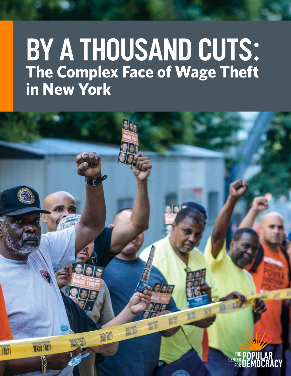# **BY A THOUSAND CUTS: The Complex Face of Wage Theft in New York**

WWW.

**White (Int)** 

m

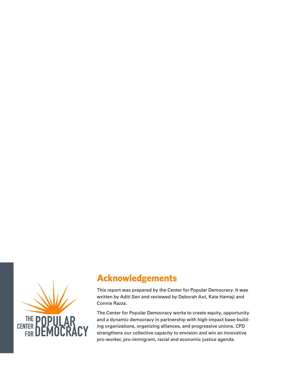

# **Acknowledgements**

This report was prepared by the Center for Popular Democracy. It was written by Aditi Sen and reviewed by Deborah Axt, Kate Hamaji and Connie Razza.

The Center for Popular Democracy works to create equity, opportunity and a dynamic democracy in partnership with high-impact base-building organizations, organizing alliances, and progressive unions. CPD strengthens our collective capacity to envision and win an innovative pro-worker, pro-immigrant, racial and economic justice agenda.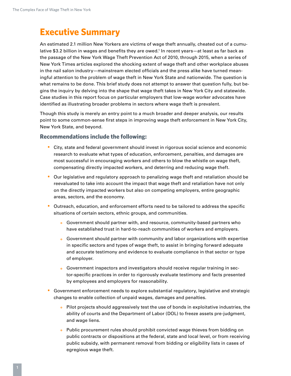# **Executive Summary**

An estimated 2.1 million New Yorkers are victims of wage theft annually, cheated out of a cumulative \$3.2 billion in wages and benefits they are owed.<sup>1</sup> In recent years—at least as far back as the passage of the New York Wage Theft Prevention Act of 2010, through 2015, when a series of New York Times articles explored the shocking extent of wage theft and other workplace abuses in the nail salon industry—mainstream elected officials and the press alike have turned meaningful attention to the problem of wage theft in New York State and nationwide. The question is what remains to be done. This brief study does not attempt to answer that question fully, but begins the inquiry by delving into the shape that wage theft takes in New York City and statewide. Case studies in this report focus on particular employers that low-wage worker advocates have identified as illustrating broader problems in sectors where wage theft is prevalent.

Though this study is merely an entry point to a much broader and deeper analysis, our results point to some common-sense first steps in improving wage theft enforcement in New York City, New York State, and beyond.

#### **Recommendations include the following:**

- City, state and federal government should invest in rigorous social science and economic research to evaluate what types of education, enforcement, penalties, and damages are most successful in encouraging workers and others to blow the whistle on wage theft, compensating directly impacted workers, and deterring and reducing wage theft.
- Our legislative and regulatory approach to penalizing wage theft and retaliation should be reevaluated to take into account the impact that wage theft and retaliation have not only on the directly impacted workers but also on competing employers, entire geographic areas, sectors, and the economy.
- Outreach, education, and enforcement efforts need to be tailored to address the specific situations of certain sectors, ethnic groups, and communities.
	- **°** Government should partner with, and resource, community-based partners who have established trust in hard-to-reach communities of workers and employers.
	- **°** Government should partner with community and labor organizations with expertise in specific sectors and types of wage theft, to assist in bringing forward adequate and accurate testimony and evidence to evaluate compliance in that sector or type of employer.
	- **°** Government inspectors and investigators should receive regular training in sector-specific practices in order to rigorously evaluate testimony and facts presented by employees and employers for reasonability.
- Government enforcement needs to explore substantial regulatory, legislative and strategic changes to enable collection of unpaid wages, damages and penalties.
	- **°** Pilot projects should aggressively test the use of bonds in exploitative industries, the ability of courts and the Department of Labor (DOL) to freeze assets pre-judgment, and wage liens.
	- **°** Public procurement rules should prohibit convicted wage thieves from bidding on public contracts or dispositions at the federal, state and local level, or from receiving public subsidy, with permanent removal from bidding or eligibility lists in cases of egregious wage theft.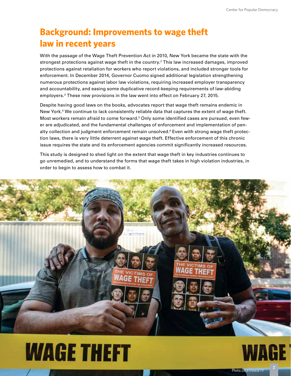# **Background: Improvements to wage theft law in recent years**

With the passage of the Wage Theft Prevention Act in 2010, New York became the state with the strongest protections against wage theft in the country. $^2$  This law increased damages, improved protections against retaliation for workers who report violations, and included stronger tools for enforcement. In December 2014, Governor Cuomo signed additional legislation strengthening numerous protections against labor law violations, requiring increased employer transparency and accountability, and easing some duplicative record-keeping requirements of law-abiding employers.3 These new provisions in the law went into effect on February 27, 2015.

Despite having good laws on the books, advocates report that wage theft remains endemic in New York.4 We continue to lack consistently reliable data that captures the extent of wage theft. Most workers remain afraid to come forward.<sup>5</sup> Only some identified cases are pursued, even fewer are adjudicated, and the fundamental challenges of enforcement and implementation of penalty collection and judgment enforcement remain unsolved. $\rm ^6$  Even with strong wage theft protection laws, there is very little deterrent against wage theft. Effective enforcement of this chronic issue requires the state and its enforcement agencies commit significantly increased resources.

This study is designed to shed light on the extent that wage theft in key industries continues to go unremedied, and to understand the forms that wage theft takes in high violation industries, in order to begin to assess how to combat it.



# **WAGE THEFT**

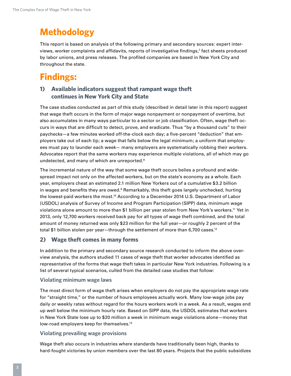# **Methodology**

This report is based on analysis of the following primary and secondary sources: expert interviews, worker complaints and affidavits, reports of investigative findings, $^7$  fact sheets produced by labor unions, and press releases. The profiled companies are based in New York City and throughout the state.

# **Findings:**

#### **1) Available indicators suggest that rampant wage theft continues in New York City and State**

The case studies conducted as part of this study (described in detail later in this report) suggest that wage theft occurs in the form of major wage nonpayment or nonpayment of overtime, but also accumulates in many ways particular to a sector or job classification. Often, wage theft occurs in ways that are difficult to detect, prove, and eradicate. Thus "by a thousand cuts" to their paychecks—a few minutes worked off-the-clock each day; a five-percent "deduction" that employers take out of each tip; a wage that falls below the legal minimum; a uniform that employees must pay to launder each week— many employers are systematically robbing their workers. Advocates report that the same workers may experience multiple violations, all of which may go undetected, and many of which are unreported.8

The incremental nature of the way that some wage theft occurs belies a profound and widespread impact not only on the affected workers, but on the state's economy as a whole. Each year, employers cheat an estimated 2.1 million New Yorkers out of a cumulative \$3.2 billion in wages and benefits they are owed.<sup>9</sup> Remarkably, this theft goes largely unchecked, hurting the lowest-paid workers the most.10 According to a December 2014 U.S. Department of Labor (USDOL) analysis of Survey of Income and Program Participation (SIPP) data, minimum wage violations alone amount to more than \$1 billion per year stolen from New York's workers.11 Yet in 2013, only 12,700 workers received back pay for all types of wage theft combined, and the total amount of money returned was only \$23 million for the full year—or roughly 2 percent of the total \$1 billion stolen per year-through the settlement of more than 6,700 cases.<sup>12</sup>

#### **2) Wage theft comes in many forms**

In addition to the primary and secondary source research conducted to inform the above overview analysis, the authors studied 11 cases of wage theft that worker advocates identified as representative of the forms that wage theft takes in particular New York industries. Following is a list of several typical scenarios, culled from the detailed case studies that follow:

#### **Violating minimum wage laws**

The most direct form of wage theft arises when employers do not pay the appropriate wage rate for "straight time," or the number of hours employees actually work. Many low-wage jobs pay daily or weekly rates without regard for the hours workers work in a week. As a result, wages end up well below the minimum hourly rate. Based on SIPP data, the USDOL estimates that workers in New York State lose up to \$20 million a week in minimum wage violations alone—money that low-road employers keep for themselves.13

#### **Violating prevailing wage provisions**

Wage theft also occurs in industries where standards have traditionally been high, thanks to hard-fought victories by union members over the last 80 years. Projects that the public subsidizes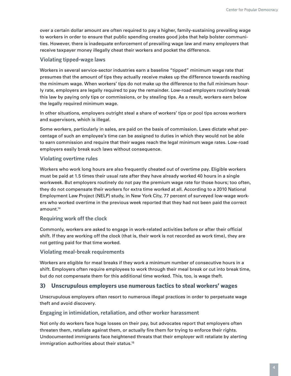over a certain dollar amount are often required to pay a higher, family-sustaining prevailing wage to workers in order to ensure that public spending creates good jobs that help bolster communities. However, there is inadequate enforcement of prevailing wage law and many employers that receive taxpayer money illegally cheat their workers and pocket the difference.

#### **Violating tipped-wage laws**

Workers in several service-sector industries earn a baseline "tipped" minimum wage rate that presumes that the amount of tips they actually receive makes up the difference towards reaching the minimum wage. When workers' tips do not make up the difference to the full minimum hourly rate, employers are legally required to pay the remainder. Low-road employers routinely break this law by paying only tips or commissions, or by stealing tips. As a result, workers earn below the legally required minimum wage.

In other situations, employers outright steal a share of workers' tips or pool tips across workers and supervisors, which is illegal.

Some workers, particularly in sales, are paid on the basis of commission. Laws dictate what percentage of such an employee's time can be assigned to duties in which they would not be able to earn commission and require that their wages reach the legal minimum wage rates. Low-road employers easily break such laws without consequence.

#### **Violating overtime rules**

Workers who work long hours are also frequently cheated out of overtime pay. Eligible workers must be paid at 1.5 times their usual rate after they have already worked 40 hours in a single workweek. But employers routinely do not pay the premium wage rate for those hours; too often, they do not compensate their workers for extra time worked at all. According to a 2010 National Employment Law Project (NELP) study, in New York City, 77 percent of surveyed low-wage workers who worked overtime in the previous week reported that they had not been paid the correct amount.14

#### **Requiring work off the clock**

Commonly, workers are asked to engage in work-related activities before or after their official shift. If they are working off the clock (that is, their work is not recorded as work time), they are not getting paid for that time worked.

#### **Violating meal-break requirements**

Workers are eligible for meal breaks if they work a minimum number of consecutive hours in a shift. Employers often require employees to work through their meal break or cut into break time, but do not compensate them for this additional time worked. This, too, is wage theft.

#### **3) Unscrupulous employers use numerous tactics to steal workers' wages**

Unscrupulous employers often resort to numerous illegal practices in order to perpetuate wage theft and avoid discovery.

#### **Engaging in intimidation, retaliation, and other worker harassment**

Not only do workers face huge losses on their pay, but advocates report that employers often threaten them, retaliate against them, or actually fire them for trying to enforce their rights. Undocumented immigrants face heightened threats that their employer will retaliate by alerting immigration authorities about their status.<sup>15</sup>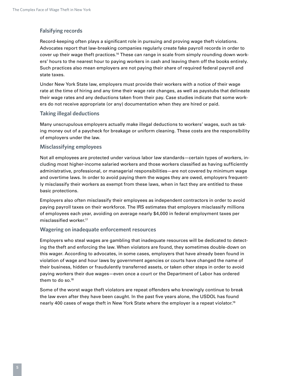#### **Falsifying records**

Record-keeping often plays a significant role in pursuing and proving wage theft violations. Advocates report that law-breaking companies regularly create fake payroll records in order to cover up their wage theft practices.16 These can range in scale from simply rounding down workers' hours to the nearest hour to paying workers in cash and leaving them off the books entirely. Such practices also mean employers are not paying their share of required federal payroll and state taxes.

Under New York State law, employers must provide their workers with a notice of their wage rate at the time of hiring and any time their wage rate changes, as well as paystubs that delineate their wage rates and any deductions taken from their pay. Case studies indicate that some workers do not receive appropriate (or any) documentation when they are hired or paid.

#### **Taking illegal deductions**

Many unscrupulous employers actually make illegal deductions to workers' wages, such as taking money out of a paycheck for breakage or uniform cleaning. These costs are the responsibility of employers under the law.

#### **Misclassifying employees**

Not all employees are protected under various labor law standards—certain types of workers, including most higher-income salaried workers and those workers classified as having sufficiently administrative, professional, or managerial responsibilities—are not covered by minimum wage and overtime laws. In order to avoid paying them the wages they are owed, employers frequently misclassify their workers as exempt from these laws, when in fact they are entitled to these basic protections.

Employers also often misclassify their employees as independent contractors in order to avoid paying payroll taxes on their workforce. The IRS estimates that employers misclassify millions of employees each year, avoiding on average nearly \$4,000 in federal employment taxes per misclassified worker.17

#### **Wagering on inadequate enforcement resources**

Employers who steal wages are gambling that inadequate resources will be dedicated to detecting the theft and enforcing the law. When violators are found, they sometimes double-down on this wager. According to advocates, in some cases, employers that have already been found in violation of wage and hour laws by government agencies or courts have changed the name of their business, hidden or fraudulently transferred assets, or taken other steps in order to avoid paying workers their due wages—even once a court or the Department of Labor has ordered them to do so. $18$ 

Some of the worst wage theft violators are repeat offenders who knowingly continue to break the law even after they have been caught. In the past five years alone, the USDOL has found nearly 400 cases of wage theft in New York State where the employer is a repeat violator.19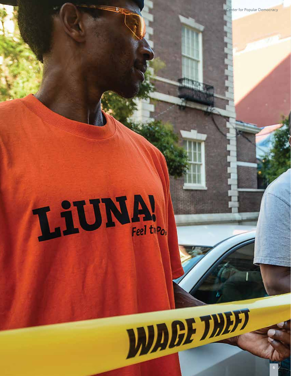# LIUNA!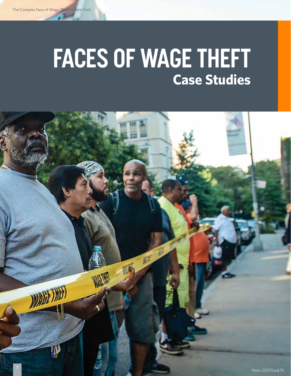# **FACES OF WAGE THEFT Case Studies**

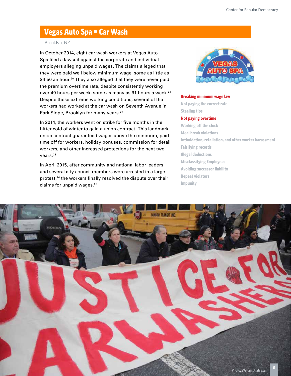# **Vegas Auto Spa • Car Wash**

#### Brooklyn, NY

In October 2014, eight car wash workers at Vegas Auto Spa filed a lawsuit against the corporate and individual employers alleging unpaid wages. The claims alleged that they were paid well below minimum wage, some as little as \$4.50 an hour.<sup>20</sup> They also alleged that they were never paid the premium overtime rate, despite consistently working over 40 hours per week, some as many as 91 hours a week.<sup>21</sup> Despite these extreme working conditions, several of the workers had worked at the car wash on Seventh Avenue in Park Slope, Brooklyn for many years.<sup>22</sup>

In 2014, the workers went on strike for five months in the bitter cold of winter to gain a union contract. This landmark union contract guaranteed wages above the minimum, paid time off for workers, holiday bonuses, commission for detail workers, and other increased protections for the next two years.23

In April 2015, after community and national labor leaders and several city council members were arrested in a large protest,<sup>24</sup> the workers finally resolved the dispute over their claims for unpaid wages.25



#### **Breaking minimum wage law**

**Not paying the correct rate Stealing tips**

#### **Not paying overtime**

**Working off the clock Meal break violations Intimidation, retaliation, and other worker harassment Falsifying records Illegal deductions Misclassifying Employees Avoiding successor liability Repeat violators Impunity**

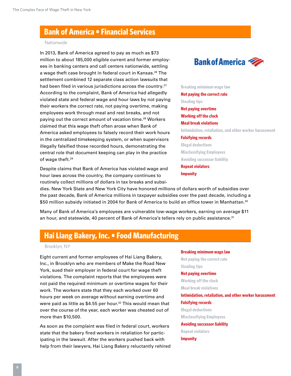# **Bank of America • Financial Services**

#### Nationwide

In 2013, Bank of America agreed to pay as much as \$73 million to about 185,000 eligible current and former employees in banking centers and call centers nationwide, settling a wage theft case brought in federal court in Kansas.<sup>26</sup> The settlement combined 12 separate class action lawsuits that had been filed in various jurisdictions across the country.<sup>27</sup> According to the complaint, Bank of America had allegedly violated state and federal wage and hour laws by not paying their workers the correct rate, not paying overtime, making employees work through meal and rest breaks, and not paying out the correct amount of vacation time.<sup>28</sup> Workers claimed that this wage theft often arose when Bank of America asked employees to falsely record their work hours in the centralized timekeeping system, or when supervisors illegally falsified those recorded hours, demonstrating the central role that document keeping can play in the practice of wage theft.<sup>29</sup>

Despite claims that Bank of America has violated wage and hour laws across the country, the company continues to routinely collect millions of dollars in tax breaks and subsi-



**Breaking minimum wage law Not paying the correct rate Stealing tips Not paying overtime Working off the clock Meal break violations Intimidation, retaliation, and other worker harassment Falsifying records Illegal deductions Misclassifying Employees Avoiding successor liability Repeat violators Impunity**

dies. New York State and New York City have honored millions of dollars worth of subsidies over the past decade, Bank of America millions in taxpayer subsidies over the past decade, including a \$50 million subsidy initiated in 2004 for Bank of America to build an office tower in Manhattan.<sup>30</sup>

Many of Bank of America's employees are vulnerable low-wage workers, earning on average \$11 an hour, and statewide, 40 percent of Bank of America's tellers rely on public assistance.<sup>31</sup>

# **Hai Liang Bakery, Inc. • Food Manufacturing**

#### Brooklyn, NY

Eight current and former employees of Hai Liang Bakery, Inc., in Brooklyn who are members of Make the Road New York, sued their employer in federal court for wage theft violations. The complaint reports that the employees were not paid the required minimum or overtime wages for their work. The workers state that they each worked over 60 hours per week on average without earning overtime and were paid as little as  $$4.55$  per hour.<sup>32</sup> This would mean that over the course of the year, each worker was cheated out of more than \$10,500.

As soon as the complaint was filed in federal court, workers state that the bakery fired workers in retaliation for participating in the lawsuit. After the workers pushed back with help from their lawyers, Hai Liang Bakery reluctantly rehired

#### **Breaking minimum wage law**

**Not paying the correct rate Stealing tips**

#### **Not paying overtime**

**Working off the clock Meal break violations**

**Intimidation, retaliation, and other worker harassment Falsifying records**

**Illegal deductions**

**Misclassifying Employees**

**Avoiding successor liability**

**Repeat violators**

**Impunity**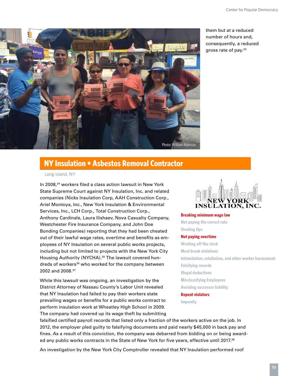

them but at a reduced number of hours and, consequently, a reduced gross rate of pay.33

# **NY Insulation • Asbestos Removal Contractor**

Long Island, NY

In 2008,34 workers filed a class action lawsuit in New York State Supreme Court against NY Insulation, Inc. and related companies (Nicks Insulation Corp, AAH Construction Corp., Ariel Montoya, Inc., New York Insulation & Environmental Services, Inc., LCH Corp., Total Construction Corp., Anthony Cardinale, Laura Ilishaev, Nova Casualty Company, Westchester Fire Insurance Company, and John Doe Bonding Companies) reporting that they had been cheated out of their lawful wage rates, overtime and benefits as employees of NY Insulation on several public works projects, including but not limited to projects with the New York City Housing Authority (NYCHA).35 The lawsuit covered hundreds of workers<sup>36</sup> who worked for the company between 2002 and 2008.37

While this lawsuit was ongoing, an investigation by the District Attorney of Nassau County's Labor Unit revealed that NY Insulation had failed to pay their workers state prevailing wages or benefits for a public works contract to perform insulation work at Wheatley High School in 2009. The company had covered up its wage theft by submitting



#### **Breaking minimum wage law**

**Not paying the correct rate Stealing tips**

#### **Not paying overtime**

**Working off the clock Meal break violations Intimidation, retaliation, and other worker harassment Falsifying records Illegal deductions Misclassifying Employees Avoiding successor liability**

#### **Repeat violators**

**Impunity**

falsified certified payroll records that listed only a fraction of the workers active on the job. In 2012, the employer pled guilty to falsifying documents and paid nearly \$45,000 in back pay and fines. As a result of this conviction, the company was debarred from bidding on or being awarded any public works contracts in the State of New York for five years, effective until 2017.<sup>38</sup>

An investigation by the New York City Comptroller revealed that NY Insulation performed roof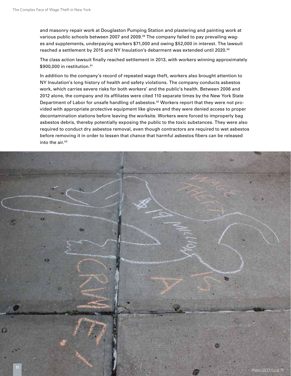and masonry repair work at Douglaston Pumping Station and plastering and painting work at various public schools between 2007 and 2009.39 The company failed to pay prevailing wages and supplements, underpaying workers \$71,000 and owing \$52,000 in interest. The lawsuit reached a settlement by 2015 and NY Insulation's debarment was extended until 2020.40

The class action lawsuit finally reached settlement in 2013, with workers winning approximately \$900,000 in restitution.<sup>41</sup>

In addition to the company's record of repeated wage theft, workers also brought attention to NY Insulation's long history of health and safety violations. The company conducts asbestos work, which carries severe risks for both workers' and the public's health. Between 2006 and 2012 alone, the company and its affiliates were cited 110 separate times by the New York State Department of Labor for unsafe handling of asbestos.<sup>42</sup> Workers report that they were not provided with appropriate protective equipment like gloves and they were denied access to proper decontamination stations before leaving the worksite. Workers were forced to improperly bag asbestos debris, thereby potentially exposing the public to the toxic substances. They were also required to conduct dry asbestos removal, even though contractors are required to wet asbestos before removing it in order to lessen that chance that harmful asbestos fibers can be released into the air.<sup>43</sup>

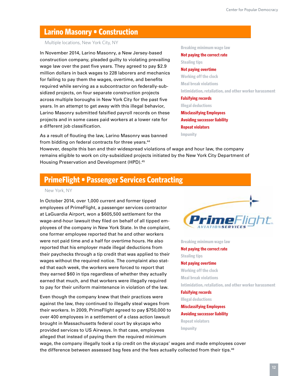# **Larino Masonry • Construction**

Multiple locations, New York City, NY

In November 2014, Larino Masonry, a New Jersey-based construction company, pleaded guilty to violating prevailing wage law over the past five years. They agreed to pay \$2.9 million dollars in back wages to 228 laborers and mechanics for failing to pay them the wages, overtime, and benefits required while serving as a subcontractor on federally-subsidized projects, on four separate construction projects across multiple boroughs in New York City for the past five years. In an attempt to get away with this illegal behavior, Larino Masonry submitted falsified payroll records on these projects and in some cases paid workers at a lower rate for a different job classification.

As a result of flouting the law, Larino Masonry was banned from bidding on federal contracts for three years.<sup>44</sup>

**Breaking minimum wage law**

**Not paying the correct rate Stealing tips Not paying overtime Working off the clock Meal break violations Intimidation, retaliation, and other worker harassment Falsifying records Illegal deductions Misclassifying Employees Avoiding successor liability Repeat violators Impunity**

However, despite this ban and their widespread violations of wage and hour law, the company remains eligible to work on city-subsidized projects initiated by the New York City Department of Housing Preservation and Development (HPD).45

## **PrimeFlight • Passenger Services Contracting**

New York, NY

In October 2014, over 1,000 current and former tipped employees of PrimeFlight, a passenger services contractor at LaGuardia Airport, won a \$605,500 settlement for the wage-and-hour lawsuit they filed on behalf of all tipped employees of the company in New York State. In the complaint, one former employee reported that he and other workers were not paid time and a half for overtime hours. He also reported that his employer made illegal deductions from their paychecks through a tip credit that was applied to their wages without the required notice. The complaint also stated that each week, the workers were forced to report that they earned \$60 in tips regardless of whether they actually earned that much, and that workers were illegally required to pay for their uniform maintenance in violation of the law.

Even though the company knew that their practices were against the law, they continued to illegally steal wages from their workers. In 2009, PrimeFlight agreed to pay \$750,000 to over 400 employees in a settlement of a class action lawsuit brought in Massachusetts federal court by skycaps who provided services to US Airways. In that case, employees alleged that instead of paying them the required minimum



**Breaking minimum wage law Not paying the correct rate Stealing tips Not paying overtime Working off the clock Meal break violations Intimidation, retaliation, and other worker harassment Falsifying records Illegal deductions Misclassifying Employees**

**Avoiding successor liability Repeat violators Impunity**

wage, the company illegally took a tip credit on the skycaps' wages and made employees cover the difference between assessed bag fees and the fees actually collected from their tips.<sup>46</sup>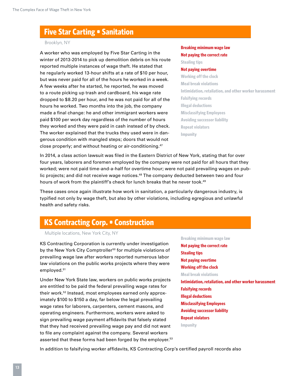# **Five Star Carting • Sanitation**

#### Brooklyn, NY

A worker who was employed by Five Star Carting in the winter of 2013-2014 to pick up demolition debris on his route reported multiple instances of wage theft. He stated that he regularly worked 13-hour shifts at a rate of \$10 per hour, but was never paid for all of the hours he worked in a week. A few weeks after he started, he reported, he was moved to a route picking up trash and cardboard, his wage rate dropped to \$8.20 per hour, and he was not paid for all of the hours he worked. Two months into the job, the company made a final change: he and other immigrant workers were paid \$100 per work day regardless of the number of hours they worked and they were paid in cash instead of by check. The worker explained that the trucks they used were in dangerous condition with mangled steps; doors that would not close properly; and without heating or air-conditioning.47

#### **Breaking minimum wage law Not paying the correct rate Stealing tips**

#### **Not paying overtime**

**Working off the clock Meal break violations Intimidation, retaliation, and other worker harassment Falsifying records Illegal deductions Misclassifying Employees Avoiding successor liability Repeat violators Impunity**

In 2014, a class action lawsuit was filed in the Eastern District of New York, stating that for over four years, laborers and foremen employed by the company were not paid for all hours that they worked; were not paid time-and-a-half for overtime hour; were not paid prevailing wages on public projects; and did not receive wage notices.<sup>48</sup> The company deducted between two and four hours of work from the plaintiff's check for lunch breaks that he never took.<sup>49</sup>

These cases once again illustrate how work in sanitation, a particularly dangerous industry, is typified not only by wage theft, but also by other violations, including egregious and unlawful health and safety risks.

# **KS Contracting Corp. • Construction**

Multiple locations, New York City, NY

KS Contracting Corporation is currently under investigation by the New York City Comptroller<sup>50</sup> for multiple violations of prevailing wage law after workers reported numerous labor law violations on the public works projects where they were employed.<sup>51</sup>

Under New York State law, workers on public works projects are entitled to be paid the federal prevailing wage rates for their work.52 Instead, most employees earned only approximately \$100 to \$150 a day, far below the legal prevailing wage rates for laborers, carpenters, cement masons, and operating engineers. Furthermore, workers were asked to sign prevailing wage payment affidavits that falsely stated that they had received prevailing wage pay and did not want to file any complaint against the company. Several workers asserted that these forms had been forged by the employer.<sup>53</sup> **Breaking minimum wage law**

**Not paying the correct rate Stealing tips Not paying overtime Working off the clock Meal break violations Intimidation, retaliation, and other worker harassment Falsifying records Illegal deductions Misclassifying Employees Avoiding successor liability Repeat violators**

**Impunity**

In addition to falsifying worker affidavits, KS Contracting Corp's certified payroll records also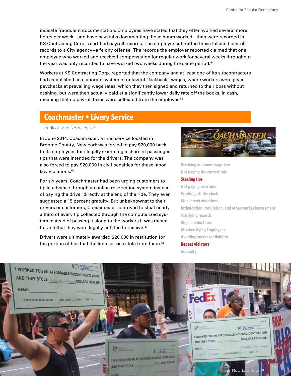indicate fraudulent documentation. Employees have stated that they often worked several more hours per week—and have paystubs documenting those hours worked—than were recorded in KS Contracting Corp.'s certified payroll records. The employer submitted these falsified payroll records to a City agency--a felony offense. The records the employer reported claimed that one employee who worked and received compensation for regular work for several weeks throughout the year was only recorded to have worked two weeks during the same period.<sup>54</sup>

Workers at KS Contracting Corp. reported that the company and at least one of its subcontractors had established an elaborate system of unlawful "kickback" wages, where workers were given paychecks at prevailing wage rates, which they then signed and returned to their boss without cashing, but were then actually paid at a significantly lower daily rate off the books, in cash, meaning that no payroll taxes were collected from the employer.<sup>55</sup>

## **Coachmaster • Livery Service**

#### Endicott and Norwich, NY

In June 2014, Coachmaster, a limo service located in Broome County, New York was forced to pay \$20,000 back to its employees for illegally skimming a share of passenger tips that were intended for the drivers. The company was also forced to pay \$20,000 in civil penalties for these labor law violations.<sup>56</sup>

For six years, Coachmaster had been urging customers to tip in advance through an online reservation system instead of paying the driver directly at the end of the ride. They even suggested a 15 percent gratuity. But unbeknownst to their drivers or customers, Coachmaster contrived to steal nearly a third of every tip collected through the computerized system instead of passing it along to the workers it was meant for and that they were legally entitled to receive.<sup>57</sup>

Drivers were ultimately awarded \$20,000 in restitution for the portion of tips that the limo service stole from them.58



**Breaking minimum wage law Not paying the correct rate Stealing tips Not paying overtime Working off the clock Meal break violations Intimidation, retaliation, and other worker harassment Falsifying records Illegal deductions Misclassifying Employees Avoiding successor liability Repeat violators Impunity**

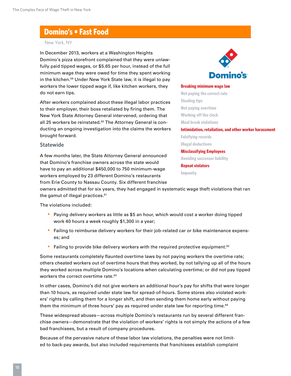# **Domino's • Fast Food**

#### New York, NY

In December 2013, workers at a Washington Heights Domino's pizza storefront complained that they were unlawfully paid tipped wages, or \$5.65 per hour, instead of the full minimum wage they were owed for time they spent working in the kitchen.59 Under New York State law, it is illegal to pay workers the lower tipped wage if, like kitchen workers, they do not earn tips.

After workers complained about these illegal labor practices to their employer, their boss retaliated by firing them. The New York State Attorney General intervened, ordering that all 25 workers be reinstated.<sup>60</sup> The Attorney General is conducting an ongoing investigation into the claims the workers brought forward.

#### **Statewide**

A few months later, the State Attorney General announced that Domino's franchise owners across the state would have to pay an additional \$450,000 to 750 minimum-wage workers employed by 23 different Domino's restaurants from Erie County to Nassau County. Six different franchise



#### **Breaking minimum wage law**

**Not paying the correct rate Stealing tips Not paying overtime Working off the clock Meal break violations Intimidation, retaliation, and other worker harassment Falsifying records Illegal deductions**

**Misclassifying Employees**

**Avoiding successor liability**

**Repeat violators Impunity**

owners admitted that for six years, they had engaged in systematic wage theft violations that ran the gamut of illegal practices.<sup>61</sup>

The violations included:

- Paying delivery workers as little as \$5 an hour, which would cost a worker doing tipped work 40 hours a week roughly \$1,300 in a year;
- Failing to reimburse delivery workers for their job-related car or bike maintenance expenses; and
- Failing to provide bike delivery workers with the required protective equipment.<sup>62</sup>

Some restaurants completely flaunted overtime laws by not paying workers the overtime rate; others cheated workers out of overtime hours that they worked, by not tallying up all of the hours they worked across multiple Domino's locations when calculating overtime; or did not pay tipped workers the correct overtime rate.<sup>63</sup>

In other cases, Domino's did not give workers an additional hour's pay for shifts that were longer than 10 hours, as required under state law for spread-of-hours. Some stores also violated workers' rights by calling them for a longer shift, and then sending them home early without paying them the minimum of three hours' pay as required under state law for reporting time.<sup>64</sup>

These widespread abuses—across multiple Domino's restaurants run by several different franchise owners—demonstrate that the violation of workers' rights is not simply the actions of a few bad franchisees, but a result of company procedures.

Because of the pervasive nature of these labor law violations, the penalties were not limited to back-pay awards, but also included requirements that franchisees establish complaint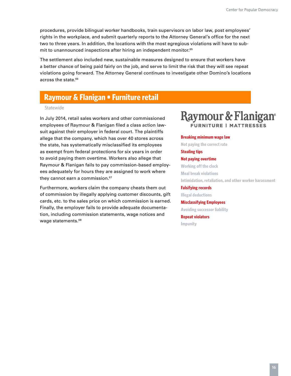procedures, provide bilingual worker handbooks, train supervisors on labor law, post employees' rights in the workplace, and submit quarterly reports to the Attorney General's office for the next two to three years. In addition, the locations with the most egregious violations will have to submit to unannounced inspections after hiring an independent monitor.<sup>65</sup>

The settlement also included new, sustainable measures designed to ensure that workers have a better chance of being paid fairly on the job, and serve to limit the risk that they will see repeat violations going forward. The Attorney General continues to investigate other Domino's locations across the state.66

## **Raymour & Flanigan • Furniture retail**

#### Statewide

In July 2014, retail sales workers and other commissioned employees of Raymour & Flanigan filed a class action lawsuit against their employer in federal court. The plaintiffs allege that the company, which has over 40 stores across the state, has systematically misclassified its employees as exempt from federal protections for six years in order to avoid paying them overtime. Workers also allege that Raymour & Flanigan fails to pay commission-based employees adequately for hours they are assigned to work where they cannot earn a commission.<sup>67</sup>

Furthermore, workers claim the company cheats them out of commission by illegally applying customer discounts, gift cards, etc. to the sales price on which commission is earned. Finally, the employer fails to provide adequate documentation, including commission statements, wage notices and wage statements.<sup>68</sup>

# Raymour & Flanigan<sup>®</sup> **FURNITURE | MATTRESSES**

#### **Breaking minimum wage law**

**Not paying the correct rate**

#### **Stealing tips**

#### **Not paying overtime**

**Working off the clock Meal break violations Intimidation, retaliation, and other worker harassment Falsifying records**

**Illegal deductions**

#### **Misclassifying Employees**

**Avoiding successor liability**

**Repeat violators**

**Impunity**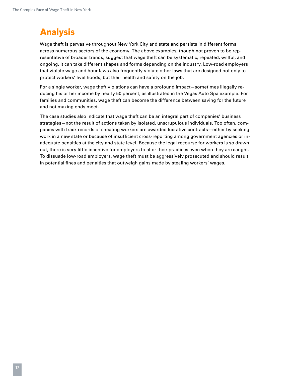# **Analysis**

Wage theft is pervasive throughout New York City and state and persists in different forms across numerous sectors of the economy. The above examples, though not proven to be representative of broader trends, suggest that wage theft can be systematic, repeated, willful, and ongoing. It can take different shapes and forms depending on the industry. Low-road employers that violate wage and hour laws also frequently violate other laws that are designed not only to protect workers' livelihoods, but their health and safety on the job.

For a single worker, wage theft violations can have a profound impact—sometimes illegally reducing his or her income by nearly 50 percent, as illustrated in the Vegas Auto Spa example. For families and communities, wage theft can become the difference between saving for the future and not making ends meet.

The case studies also indicate that wage theft can be an integral part of companies' business strategies—not the result of actions taken by isolated, unscrupulous individuals. Too often, companies with track records of cheating workers are awarded lucrative contracts—either by seeking work in a new state or because of insufficient cross-reporting among government agencies or inadequate penalties at the city and state level. Because the legal recourse for workers is so drawn out, there is very little incentive for employers to alter their practices even when they are caught. To dissuade low-road employers, wage theft must be aggressively prosecuted and should result in potential fines and penalties that outweigh gains made by stealing workers' wages.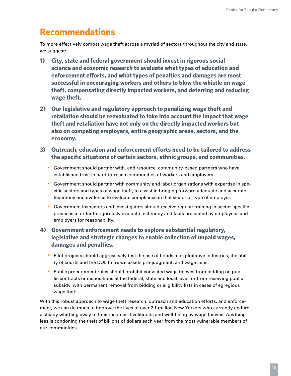# **Recommendations**

To more effectively combat wage theft across a myriad of sectors throughout the city and state, we suggest:

- **1) City, state and federal government should invest in rigorous social science and economic research to evaluate what types of education and enforcement efforts, and what types of penalties and damages are most successful in encouraging workers and others to blow the whistle on wage theft, compensating directly impacted workers, and deterring and reducing wage theft.**
- **2) Our legislative and regulatory approach to penalizing wage theft and retaliation should be reevaluated to take into account the impact that wage theft and retaliation have not only on the directly impacted workers but also on competing employers, entire geographic areas, sectors, and the economy.**
- **3) Outreach, education and enforcement efforts need to be tailored to address the specific situations of certain sectors, ethnic groups, and communities.**
	- Government should partner with, and resource, community-based partners who have established trust in hard-to-reach communities of workers and employers.
	- Government should partner with community and labor organizations with expertise in specific sectors and types of wage theft, to assist in bringing forward adequate and accurate testimony and evidence to evaluate compliance in that sector or type of employer.
	- Government inspectors and investigators should receive regular training in sector-specific practices in order to rigorously evaluate testimony and facts presented by employees and employers for reasonability.
- **4) Government enforcement needs to explore substantial regulatory, legislative and strategic changes to enable collection of unpaid wages, damages and penalties.**
	- Pilot projects should aggressively test the use of bonds in exploitative industries, the ability of courts and the DOL to freeze assets pre-judgment, and wage liens.
	- Public procurement rules should prohibit convicted wage thieves from bidding on public contracts or dispositions at the federal, state and local level, or from receiving public subsidy, with permanent removal from bidding or eligibility lists in cases of egregious wage theft.

With this robust approach to wage theft research, outreach and education efforts, and enforcement, we can do much to improve the lives of over 2.1 million New Yorkers who currently endure a steady whittling away of their incomes, livelihoods and well-being by wage thieves. Anything less is condoning the theft of billions of dollars each year from the most vulnerable members of our communities.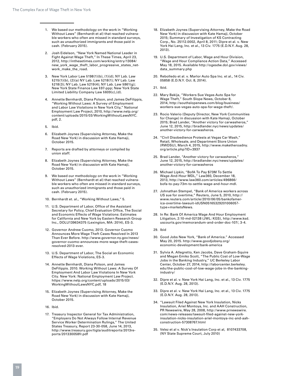- 1. We based our methodology on the work in "Working Without Laws" (Bernhardt et al) that reached vulnerable workers who often are missed in standard surveys, such as unauthorized immigrants and those paid in cash. (February 2015).
- 2. Josh Eidelson, "New York Named National Leader in Fight Against Wage Theft," In These Times, April 23, 2012, http://inthesetimes.com/working/entry/13084/ new\_york\_wage\_theft\_labor\_progressive\_states\_network\_make\_the\_road.
- 3. New York Labor Law §198(1)(b), (1)(d); NY Lab. Law §215(1)(b), (2)(a) NY Lab. Law §218(1); NY Lab. Law §218(3); NY Lab. Law §219(4); NY Lab. Law §861(g); New York State Finance Law §97-ppp; New York State Limited Liability Company Law §609(c),(d).
- 4. Annette Bernhardt, Diana Polson, and James DeFilippis, "Working Without Laws: A Survey of Employment and Labor Law Violations in New York City," National Employment Law Project, 2010, http://www.nelp.org/ content/uploads/2015/03/WorkingWithoutLawsNYC. pdf, 2.
- 5. Ibid.
- 6. Elizabeth Joynes (Supervising Attorney, Make the Road New York) in discussion with Kate Hamaji, October 2015.
- 7. Reports are drafted by attorneys or compiled by union staff.
- 8. Elizabeth Joynes (Supervising Attorney, Make the Road New York) in discussion with Kate Hamaji, October 2015.
- 9. We based our methodology on the work in "Working Without Laws" (Bernhardt et al) that reached vulnerable workers who often are missed in standard surveys, such as unauthorized immigrants and those paid in cash. (February 2015).
- 10. Bernhardt et. al., "Working Without Laws," 5.
- 11. U.S. Department of Labor, Office of the Assistant Secretary for Policy, Chief Evaluation Office, The Social and Economic Effects of Wage Violations: Estimates for California and New York by Eastern Research Group Inc., DOLU139634375 (Lexington, MA: 2014), ES-3.
- 12. Governor Andrew Cuomo, 2013. Governor Cuomo Announces More Wage Theft Cases Resolved In 2013 Than Ever Before. http://www.governor.ny.gov/news/ governor-cuomo-announces-more-wage-theft-casesresolved-2013-ever.
- 13. U.S. Department of Labor, The Social an Economic Effects of Wage Violations, ES-3.
- 14. Annette Bernhardt, Diana Polson, and James DeFilippis. 2010. Working Without Laws: A Survey Of Employment And Labor Law Violations In New York City. New York: National Employment Law Project. https://www.nelp.org/content/uploads/2015/03/ WorkingWithoutLawsNYC.pdf, 18
- 15. Elizabeth Joynes (Supervising Attorney, Make the Road New York) in discussion with Kate Hamaji, October 2015.
- 16. Ibid.
- 17. Treasury Inspector General for Tax Administration, "Employers Do Not Always Follow Internal Revenue Service Worker Determination Rulings," The United States Treasury, Report 23-30-058, June 14, 2013, http://www.treasury.gov/tigta/auditreports/2013reports/201330058fr.pdf
- 18. Elizabeth Joynes (Supervising Attorney, Make the Road New York) in discussion with Kate Hamaji, October 2015; Summary of Investigation of KS Contracting Corp., No. 25112.0002, April 8, 2011; Dipre et al. v. New York Hai Lang, Inc. et al., 13 Civ. 1775 (E.D.N.Y. Aug. 28, 2013).
- 19. U.S. Department of Labor, Wage and Hour Division, "Wage and Hour Compliance Action Data," Accessed May 18, 2015. Available http://ogesdw.dol.gov/views/ data\_summary.php
- 20. Rebolledo et al. v. Marlor Auto Spa Inc. et al., 14 Civ. 05858 (E.D.N.Y. Oct. 8, 2014).
- 21. Ibid.
- 22. Mary Bakija, "Workers Sue Vegas Auto Spa for Wage Theft," South Slope News, October 8, 2014, http://southslopenews.com/blog/business/ workers-sue-vegas-auto-spa-for-wage-theft/.
- 23. Rocio Valerio (Deputy Director, New York Communities for Change) in discussion with Kate Hamaji, October 2015; Brad Lander, "Another victory for carwasheros," June 12, 2015, http://bradlander.nyc/news/updates/ another-victory-for-carwasheros.
- 24. "Civil Disobedience Protests at Vegas Car Wash," Retail, Wholesale, and Department Store Union (RWDSU), March 4, 2015, http://www.maketheroadny. org/article.php?ID=3937
- 25. Brad Lander, "Another victory for carwasheros," June 12, 2015, http://bradlander.nyc/news/updates/ another-victory-for-carwasheros
- 26. Michael Lipkin, "BofA To Pay \$73M To Settle Wage-And-Hour MDL," Law360, December 18, 2013, http://www.law360.com/articles/496866/ bofa-to-pay-73m-to-settle-wage-and-hour-mdl.
- 27. Johnathan Stempel, "Bank of America workers across US sue for overtime," Reuters, June 5, 2010, http:// www.reuters.com/article/2010/06/05/bankofamerica-overtime-lawsuit-idUSN0516532920100605? type=marketsNews.
- 28. In Re: Bank Of America Wage And Hour Employment Litigation, 2:10-md-02138 (JWL: KGS), http://www.ksd. uscourts.gov/memorandum-and-order-doc-107/, 3-4.
- 29. Ibid
- 30. Good Jobs New York, "Bank of America." Accessed May 20, 2015. http://www.goodjobsny.org/ economic-development/bank-america
- 31. Sylvia A. Allegretto, Ken Jacobs, Dave Graham-Squire and Megan Emiko Scott, "The Public Cost of Low-Wage Jobs in the Banking Industry," UC Berkeley Labor Center, October 27, 2014, http://laborcenter.berkeley. edu/the-public-cost-of-low-wage-jobs-in-the-bankingindustry/
- 32. Dipre et al. v. New York Hai Lang, Inc. et al., 13 Civ. 1775 (E.D.N.Y. Aug. 28, 2013).
- 33. Dipre et al. v. New York Hai Lang, Inc. et al., 13 Civ. 1775 (E.D.N.Y. Aug. 28, 2013).
- 34. "Lawsuit Filed Against New York Insulation, Nicks Insulation, Ariel Montoya, Inc. and AAH Construction, PR Newswire, May 28, 2008, http://www.prnewswire. com/news-releases/lawsuit-filed-against-new-yorkinsulation-nicks-insulation-ariel-montoya-inc-and-aahconstruction-57308767.html
- 35. Velez et al v. Nick's Insulation Corp et al, 8107433708, (NY State Supreme Court, July 2010)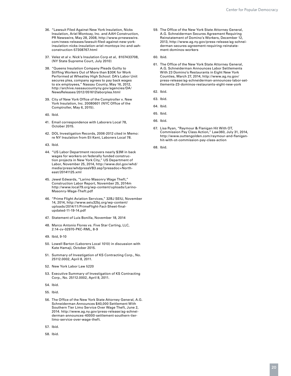- 36. "Lawsuit Filed Against New York Insulation, Nicks Insulation, Ariel Montoay, Inc. and AAH Construction, PR Newswire, May 28, 2008, http://www.prnewswire. com/news-releases/lawsuit-filed-against-new-yorkinsulation-nicks-insulation-ariel-montoya-inc-and-aahconstruction-57308767.html
- 37. Velez et al v. Nick's Insulation Corp et al, 8107433708, (NY State Supreme Court, July 2010)
- 38. "Queens Insulation Company Pleads Guilty to Stiffing Workers Out of More than \$30K for Work Performed at Wheatley High School: DA's Labor Unit secures plea, company agrees to pay back wages to six employees," Nassau County, May 16, 2012, http://archive.nassaucountyny.gov/agencies/DA/ NewsReleases/2012/051612laborplea.html
- 39. City of New York Office of the Comptroller v. New York Insulation, Inc. 20080601 (NYC Office of the Comptroller, May 6, 2015).
- 40. Ibid.
- 41. Email correspondence with Laborers Local 78, October 2015.
- 42. DOL Investigation Records, 2006-2012 cited in Memo: re NY Insulation from Eli Kent, Laborers Local 78.
- 43. Ibid.
- 44. "US Labor Department recovers nearly \$3M in back wages for workers on federally funded construction projects in New York City," US Department of Labor, November 25, 2014, http://www.dol.gov/whd/ media/press/whdpressVB3.asp?pressdoc=Northeast/20141125.xml
- 45. Jewel Edwards, "Larino Masonry Wage Theft," Construction Labor Report, November 25, 2014m http://www.local79.org/wp-content/uploads/Larino-Masonry-Wage-Theft.pdf
- 46. "Prime Flight Aviation Services," 32BJ SEIU, November 14, 2014, http://www.seiu32bj.org/wp-content/ uploads/2014/11/PrimeFlight-Fact-Sheet-finalupdated-11-19-14.pdf
- 47. Statement of Luis Bonilla, November 18, 2014
- 48. Marco Antonio Flores vs. Five Star Carting, LLC, 2:14-cv-02970-PKC-RML, 8-9
- 49. Ibid, 9-10
- 50. Lowell Barton (Laborers Local 1010) in discussion with Kate Hamaji, October 2015.
- 51. Summary of Investigation of KS Contracting Corp., No. 25112.0002, April 8, 2011.
- 52. New York Labor Law §220
- 53. Executive Summary of Investigation of KS Contracting Corp., No. 25112.0002, April 8, 2011.
- 54. Ibid.
- 55. Ibid.
- 56. The Office of the New York State Attorney General, A.G. Schneiderman Announces \$40,000 Settlement With Southern Tier Limo Service Over Wage Theft, June 2, 2014. http://www.ag.ny.gov/press-release/ag-schneiderman-announces-40000-settlement-southern-tierlimo-service-over-wage-theft.
- 57. Ibid.
- 58. Ibid.
- 59. The Office of the New York State Attorney General, A.G. Schneiderman Secures Agreement Requiring Reinstatement of Domino's Workers, December 12, 2013, http://www.ag.ny.gov/press-release/ag-schneiderman-secures-agreement-requiring-reinstatement-dominos-workers
- 60. Ibid.
- 61. The Office of the New York State Attorney General, A.G. Schneiderman Announces Labor Settlements With 23 Domino's Restaurants in Eight New York Counties, March 27, 2014, http://www.ag.ny.gov/ press-release/ag-schneiderman-announces-labor-settlements-23-dominos-restaurants-eight-new-york
- 62. Ibid.
- 63. Ibid.
- 64. Ibid.
- 65. Ibid.
- 66. Ibid.
- 67. Lisa Ryan, "Raymour & Flanigan Hit With OT, Commission Pay Class Action," Law360, July 31, 2014, http://www.outtengolden.com/raymour-and-flaniganhit-with-ot-commission-pay-class-action
- 68. Ibid.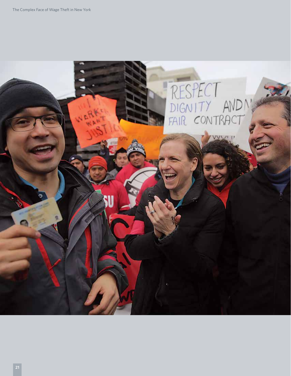